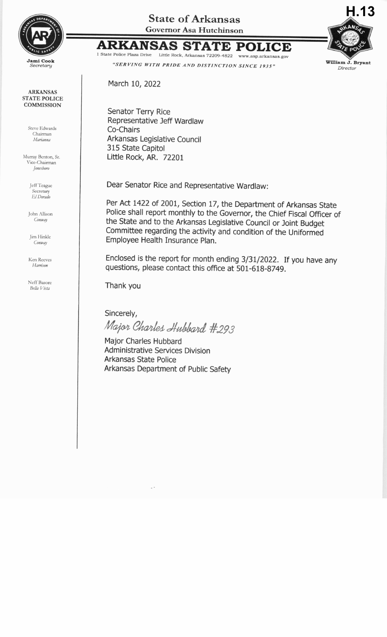

**ARKANSAS STATE POLICE COMMISSION** 

> Steve Edwards Chairman Marianna

Murray Benton, Sr. Vice-Chairman Jonesboro

> Jeff Teague Secretary El Dorado

John Allison Conway

Jim Hinkle Conway

Ken Reeves Harrison

Neff Basore Bella Vista

**State of Arkansas Governor Asa Hutchinson** 

## **ARKANSAS STATE POLICE** 1 State Police Plaza Drive Little Rock, Arkansas 72209-4822 www.asp.arkansas.gov



"SERVING WITH PRIDE AND DISTINCTION SINCE 1935"

March 10, 2022

Senator Terry Rice Representative Jeff Wardlaw Co-Chairs Arkansas Legislative Council 315 State Capitol Little Rock, AR. 72201

Dear Senator Rice and Representative Wardlaw:

Per Act 1422 of 2001, Section 17, the Department of Arkansas State Police shall report monthly to the Governor, the Chief Fiscal Officer of the State and to the Arkansas Legislative Council or Joint Budget Committee regarding the activity and condition of the Uniformed Employee Health Insurance Plan.

Enclosed is the report for month ending 3/31/2022. If you have any questions, please contact this office at 501-618-8749.

Thank you

Sincerely, Major Charles Hubbard #293

Major Charles Hubbard Administrative Services Division Arkansas State Police Arkansas Department of Public Safety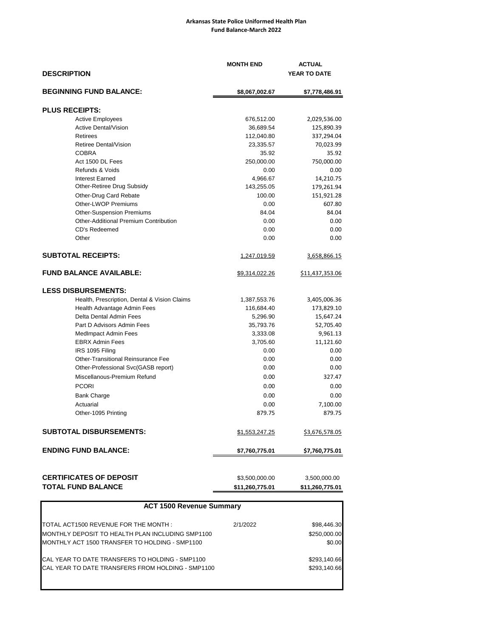## **Arkansas State Police Uniformed Health Plan Fund Balance-March 2022**

| <b>DESCRIPTION</b>                           | <b>MONTH END</b> | <b>ACTUAL</b><br>YEAR TO DATE |  |  |
|----------------------------------------------|------------------|-------------------------------|--|--|
| <b>BEGINNING FUND BALANCE:</b>               | \$8,067,002.67   | \$7,778,486.91                |  |  |
| <b>PLUS RECEIPTS:</b>                        |                  |                               |  |  |
| <b>Active Employees</b>                      | 676,512.00       | 2,029,536.00                  |  |  |
| <b>Active Dental/Vision</b>                  | 36,689.54        | 125,890.39                    |  |  |
| Retirees                                     | 112,040.80       | 337,294.04                    |  |  |
| Retiree Dental/Vision                        | 23,335.57        | 70,023.99                     |  |  |
| <b>COBRA</b>                                 | 35.92            | 35.92                         |  |  |
| Act 1500 DL Fees                             | 250,000.00       | 750,000.00                    |  |  |
| Refunds & Voids                              | 0.00             | 0.00                          |  |  |
| <b>Interest Earned</b>                       | 4,966.67         | 14,210.75                     |  |  |
| Other-Retiree Drug Subsidy                   | 143,255.05       | 179,261.94                    |  |  |
| Other-Drug Card Rebate                       | 100.00           | 151,921.28                    |  |  |
| Other-LWOP Premiums                          | 0.00             | 607.80                        |  |  |
| <b>Other-Suspension Premiums</b>             | 84.04            | 84.04                         |  |  |
| Other-Additional Premium Contribution        | 0.00             | 0.00                          |  |  |
| CD's Redeemed                                | 0.00             | 0.00                          |  |  |
| Other                                        | 0.00             | 0.00                          |  |  |
| <b>SUBTOTAL RECEIPTS:</b>                    | 1,247,019.59     | 3,658,866.15                  |  |  |
| <b>FUND BALANCE AVAILABLE:</b>               | \$9,314,022.26   | \$11,437,353.06               |  |  |
| <b>LESS DISBURSEMENTS:</b>                   |                  |                               |  |  |
| Health, Prescription, Dental & Vision Claims | 1,387,553.76     | 3,405,006.36                  |  |  |
| Health Advantage Admin Fees                  | 116,684.40       | 173,829.10                    |  |  |
| Delta Dental Admin Fees                      | 5,296.90         | 15,647.24                     |  |  |
| Part D Advisors Admin Fees                   | 35,793.76        | 52,705.40                     |  |  |
| <b>MedImpact Admin Fees</b>                  | 3,333.08         | 9,961.13                      |  |  |
| <b>EBRX Admin Fees</b>                       | 3,705.60         | 11,121.60                     |  |  |
| IRS 1095 Filing                              | 0.00             | 0.00                          |  |  |
| Other-Transitional Reinsurance Fee           | 0.00             | 0.00                          |  |  |
| Other-Professional Svc(GASB report)          | 0.00             | 0.00                          |  |  |
| Miscellanous-Premium Refund                  | 0.00             | 327.47                        |  |  |
| <b>PCORI</b>                                 | 0.00             | 0.00                          |  |  |
| <b>Bank Charge</b>                           | 0.00             | 0.00                          |  |  |
| Actuarial                                    | 0.00             | 7,100.00                      |  |  |
| Other-1095 Printing                          | 879.75           | 879.75                        |  |  |
| <b>SUBTOTAL DISBURSEMENTS:</b>               | \$1,553,247.25   | \$3,676,578.05                |  |  |
| <b>ENDING FUND BALANCE:</b>                  | \$7,760,775.01   | \$7,760,775.01                |  |  |
|                                              |                  |                               |  |  |
| <b>CERTIFICATES OF DEPOSIT</b>               | \$3,500,000.00   | 3,500,000.00                  |  |  |
| <b>TOTAL FUND BALANCE</b>                    | \$11,260,775.01  | \$11,260,775.01               |  |  |

| <b>ACT 1500 Revenue Summary</b>                   |          |              |  |  |  |  |  |
|---------------------------------------------------|----------|--------------|--|--|--|--|--|
| TOTAL ACT1500 REVENUE FOR THE MONTH:              | 2/1/2022 | \$98,446.30  |  |  |  |  |  |
| MONTHLY DEPOSIT TO HEALTH PLAN INCLUDING SMP1100  |          | \$250,000.00 |  |  |  |  |  |
| MONTHLY ACT 1500 TRANSFER TO HOLDING - SMP1100    |          | \$0.00       |  |  |  |  |  |
| CAL YEAR TO DATE TRANSFERS TO HOLDING - SMP1100   |          | \$293,140.66 |  |  |  |  |  |
| CAL YEAR TO DATE TRANSFERS FROM HOLDING - SMP1100 |          | \$293.140.66 |  |  |  |  |  |
|                                                   |          |              |  |  |  |  |  |

I